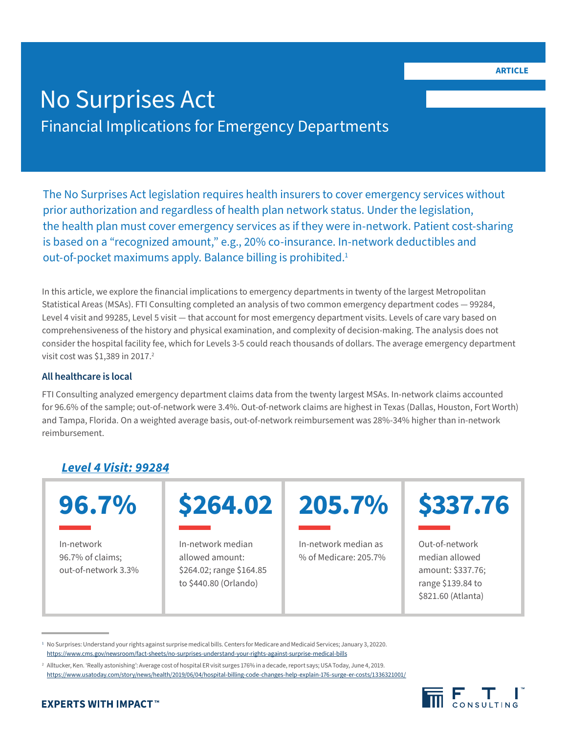# No Surprises Act Financial Implications for Emergency Departments

The No Surprises Act legislation requires health insurers to cover emergency services without prior authorization and regardless of health plan network status. Under the legislation, the health plan must cover emergency services as if they were in-network. Patient cost-sharing is based on a "recognized amount," e.g., 20% co-insurance. In-network deductibles and out-of-pocket maximums apply. Balance billing is prohibited.<sup>1</sup>

In this article, we explore the financial implications to emergency departments in twenty of the largest Metropolitan Statistical Areas (MSAs). FTI Consulting completed an analysis of two common emergency department codes — 99284, Level 4 visit and 99285, Level 5 visit — that account for most emergency department visits. Levels of care vary based on comprehensiveness of the history and physical examination, and complexity of decision-making. The analysis does not consider the hospital facility fee, which for Levels 3-5 could reach thousands of dollars. The average emergency department visit cost was \$1,389 in 2017.<sup>2</sup>

### **All healthcare is local**

FTI Consulting analyzed emergency department claims data from the twenty largest MSAs. In-network claims accounted for 96.6% of the sample; out-of-network were 3.4%. Out-of-network claims are highest in Texas (Dallas, Houston, Fort Worth) and Tampa, Florida. On a weighted average basis, out-of-network reimbursement was 28%-34% higher than in-network reimbursement.

# *Level 4 Visit: 99284*

In-network 96.7% of claims; out-of-network 3.3%



In-network median allowed amount: \$264.02; range \$164.85 to \$440.80 (Orlando)

In-network median as % of Medicare: 205.7%

Out-of-network median allowed amount: \$337.76; range \$139.84 to \$821.60 (Atlanta)

<sup>1</sup> No Surprises: Understand your rights against surprise medical bills. Centers for Medicare and Medicaid Services; January 3, 20220. <https://www.cms.gov/newsroom/fact-sheets/no-surprises-understand-your-rights-against-surprise-medical-bills>

<sup>&</sup>lt;sup>2</sup> Alltucker, Ken. 'Really astonishing': Average cost of hospital ER visit surges 176% in a decade, report says; USA Today, June 4, 2019. <https://www.usatoday.com/story/news/health/2019/06/04/hospital-billing-code-changes-help-explain-176-surge-er-costs/1336321001/>

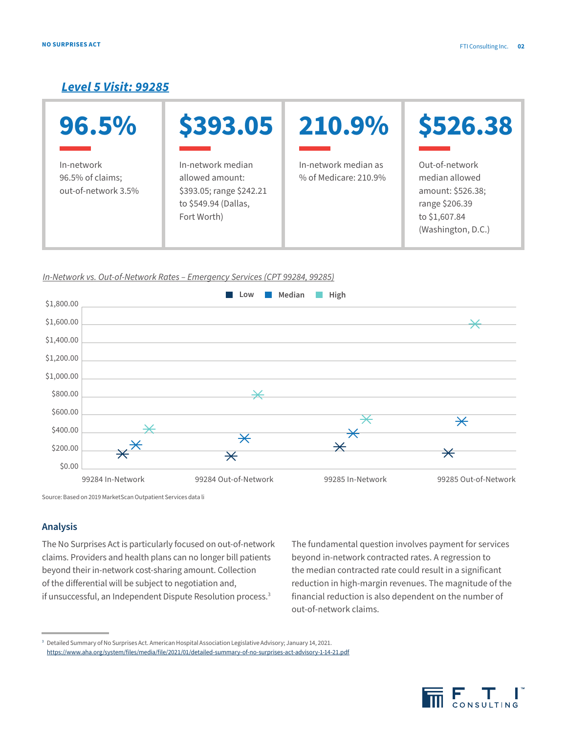## *Level 5 Visit: 99285*

| 96.5%                                                 | \$393.05                                                                                                | 210.9%                                        | \$526.38                                                                                                       |
|-------------------------------------------------------|---------------------------------------------------------------------------------------------------------|-----------------------------------------------|----------------------------------------------------------------------------------------------------------------|
| In-network<br>96.5% of claims;<br>out-of-network 3.5% | In-network median<br>allowed amount:<br>\$393.05; range \$242.21<br>to \$549.94 (Dallas,<br>Fort Worth) | In-network median as<br>% of Medicare: 210.9% | Out-of-network<br>median allowed<br>amount: \$526.38;<br>range \$206.39<br>to \$1,607.84<br>(Washington, D.C.) |

#### In-Network vs. Out-of-Network Rates – Emergency Services (CPT 99284, 99285)



Source: Based on 2019 MarketScan Outpatient Services data li

### **Analysis**

The No Surprises Act is particularly focused on out-of-network claims. Providers and health plans can no longer bill patients beyond their in-network cost-sharing amount. Collection of the differential will be subject to negotiation and, if unsuccessful, an Independent Dispute Resolution process.<sup>3</sup>

The fundamental question involves payment for services beyond in-network contracted rates. A regression to the median contracted rate could result in a significant reduction in high-margin revenues. The magnitude of the financial reduction is also dependent on the number of out-of-network claims.

<sup>3</sup> Detailed Summary of No Surprises Act. American Hospital Association Legislative Advisory; January 14, 2021. <https://www.aha.org/system/files/media/file/2021/01/detailed-summary-of-no-surprises-act-advisory-1-14-21.pdf>